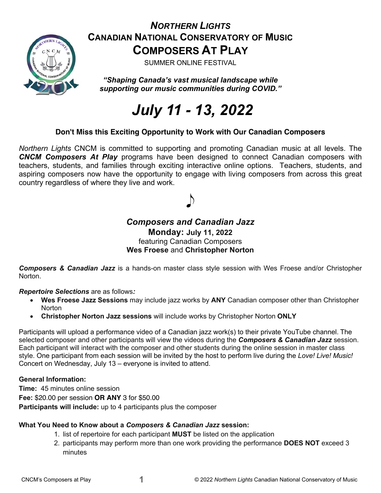

# *NORTHERN LIGHTS* **CANADIAN NATIONAL CONSERVATORY OF MUSIC COMPOSERS AT PLAY**

SUMMER ONLINE FESTIVAL

*"Shaping Canada's vast musical landscape while supporting our music communities during COVID."*

# *July 11 - 13, 2022*

#### **Don't Miss this Exciting Opportunity to Work with Our Canadian Composers**

*Northern Lights* CNCM is committed to supporting and promoting Canadian music at all levels. The *CNCM Composers At Play* programs have been designed to connect Canadian composers with teachers, students, and families through exciting interactive online options. Teachers, students, and aspiring composers now have the opportunity to engage with living composers from across this great country regardless of where they live and work.

#### *Composers and Canadian Jazz*  **Monday: July 11, 2022** featuring Canadian Composers **Wes Froese** and **Christopher Norton**

*Composers & Canadian Jazz* is a hands-on master class style session with Wes Froese and/or Christopher **Norton** 

*Repertoire Selections* are as follows*:*

- **Wes Froese Jazz Sessions** may include jazz works by **ANY** Canadian composer other than Christopher **Norton**
- **Christopher Norton Jazz sessions** will include works by Christopher Norton **ONLY**

Participants will upload a performance video of a Canadian jazz work(s) to their private YouTube channel. The selected composer and other participants will view the videos during the *Composers & Canadian Jazz* session. Each participant will interact with the composer and other students during the online session in master class style. One participant from each session will be invited by the host to perform live during the *Love! Live! Music!* Concert on Wednesday, July 13 – everyone is invited to attend.

#### **General Information:**

**Time:** 45 minutes online session **Fee:** \$20.00 per session **OR ANY** 3 for \$50.00 **Participants will include:** up to 4 participants plus the composer

#### **What You Need to Know about a** *Composers & Canadian Jazz* **session:**

- 1. list of repertoire for each participant **MUST** be listed on the application
- 2. participants may perform more than one work providing the performance **DOES NOT** exceed 3 minutes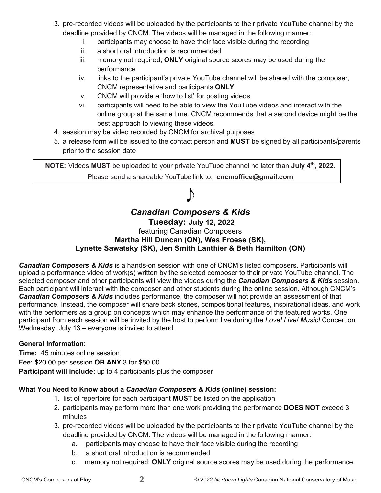- 3. pre-recorded videos will be uploaded by the participants to their private YouTube channel by the deadline provided by CNCM. The videos will be managed in the following manner:
	- i. participants may choose to have their face visible during the recording
	- ii. a short oral introduction is recommended
	- iii. memory not required; **ONLY** original source scores may be used during the performance
	- iv. links to the participant's private YouTube channel will be shared with the composer, CNCM representative and participants **ONLY**
	- v. CNCM will provide a 'how to list' for posting videos
	- vi. participants will need to be able to view the YouTube videos and interact with the online group at the same time. CNCM recommends that a second device might be the best approach to viewing these videos.
- 4. session may be video recorded by CNCM for archival purposes
- 5. a release form will be issued to the contact person and **MUST** be signed by all participants/parents prior to the session date

 $\big)$ 

## *Canadian Composers & Kids* **Tuesday: July 12, 2022** featuring Canadian Composers **Martha Hill Duncan (ON), Wes Froese (SK), Lynette Sawatsky (SK), Jen Smith Lanthier & Beth Hamilton (ON)**

*Canadian Composers & Kids* is a hands-on session with one of CNCM's listed composers. Participants will upload a performance video of work(s) written by the selected composer to their private YouTube channel. The selected composer and other participants will view the videos during the *Canadian Composers & Kids* session. Each participant will interact with the composer and other students during the online session. Although CNCM's *Canadian Composers & Kids* includes performance, the composer will not provide an assessment of that performance. Instead, the composer will share back stories, compositional features, inspirational ideas, and work with the performers as a group on concepts which may enhance the performance of the featured works. One participant from each session will be invited by the host to perform live during the *Love! Live! Music!* Concert on Wednesday, July 13 – everyone is invited to attend.

#### **General Information:**

**Time:** 45 minutes online session **Fee:** \$20.00 per session **OR ANY** 3 for \$50.00 **Participant will include:** up to 4 participants plus the composer

#### **What You Need to Know about a** *Canadian Composers & Kids* **(online) session:**

- 1. list of repertoire for each participant **MUST** be listed on the application
- 2. participants may perform more than one work providing the performance **DOES NOT** exceed 3 minutes
- 3. pre-recorded videos will be uploaded by the participants to their private YouTube channel by the deadline provided by CNCM. The videos will be managed in the following manner:
	- a. participants may choose to have their face visible during the recording
	- b. a short oral introduction is recommended
	- c. memory not required; **ONLY** original source scores may be used during the performance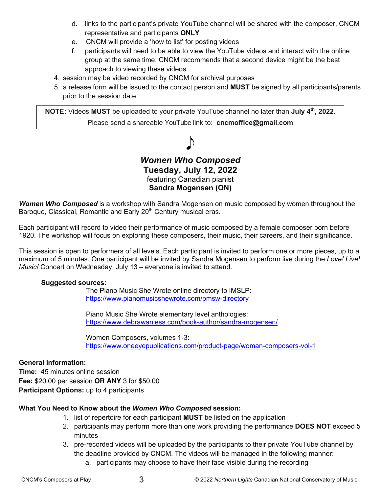- d. links to the participant's private YouTube channel will be shared with the composer, CNCM representative and participants **ONLY**
- e. CNCM will provide a 'how to list' for posting videos
- f. participants will need to be able to view the YouTube videos and interact with the online group at the same time. CNCM recommends that a second device might be the best approach to viewing these videos.
- 4. session may be video recorded by CNCM for archival purposes
- 5. a release form will be issued to the contact person and **MUST** be signed by all participants/parents prior to the session date

### *Women Who Composed* **Tuesday, July 12, 2022** featuring Canadian pianist **Sandra Mogensen (ON)**

*Women Who Composed* is a workshop with Sandra Mogensen on music composed by women throughout the Baroque, Classical, Romantic and Early 20<sup>th</sup> Century musical eras.

Each participant will record to video their performance of music composed by a female composer born before 1920. The workshop will focus on exploring these composers, their music, their careers, and their significance.

This session is open to performers of all levels. Each participant is invited to perform one or more pieces, up to a maximum of 5 minutes. One participant will be invited by Sandra Mogensen to perform live during the *Love! Live! Music!* Concert on Wednesday, July 13 – everyone is invited to attend.

#### **Suggested sources:**

The Piano Music She Wrote online directory to IMSLP: https://www.pianomusicshewrote.com/pmsw-directory

Piano Music She Wrote elementary level anthologies: https://www.debrawanless.com/book-author/sandra-mogensen/

Women Composers, volumes 1-3: https://www.oneeyepublications.com/product-page/woman-composers-vol-1

#### **General Information:**

**Time:** 45 minutes online session **Fee:** \$20.00 per session **OR ANY** 3 for \$50.00 **Participant Options:** up to 4 participants

#### **What You Need to Know about the** *Women Who Composed* **session:**

- 1. list of repertoire for each participant **MUST** be listed on the application
- 2. participants may perform more than one work providing the performance **DOES NOT** exceed 5 minutes
- 3. pre-recorded videos will be uploaded by the participants to their private YouTube channel by the deadline provided by CNCM. The videos will be managed in the following manner:
	- a. participants may choose to have their face visible during the recording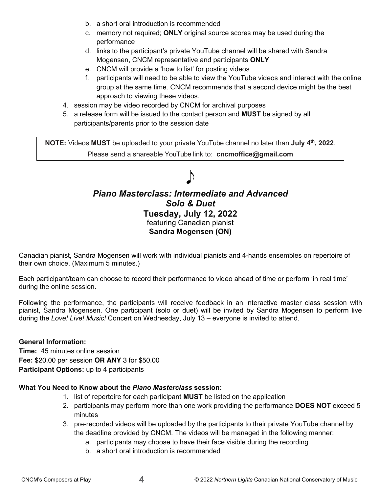- b. a short oral introduction is recommended
- c. memory not required; **ONLY** original source scores may be used during the performance
- d. links to the participant's private YouTube channel will be shared with Sandra Mogensen, CNCM representative and participants **ONLY**
- e. CNCM will provide a 'how to list' for posting videos
- f. participants will need to be able to view the YouTube videos and interact with the online group at the same time. CNCM recommends that a second device might be the best approach to viewing these videos.
- 4. session may be video recorded by CNCM for archival purposes
- 5. a release form will be issued to the contact person and **MUST** be signed by all participants/parents prior to the session date

# $\bigtriangledown$ *Piano Masterclass: Intermediate and Advanced Solo & Duet* **Tuesday, July 12, 2022** featuring Canadian pianist **Sandra Mogensen (ON)**

Canadian pianist, Sandra Mogensen will work with individual pianists and 4-hands ensembles on repertoire of their own choice. (Maximum 5 minutes.)

Each participant/team can choose to record their performance to video ahead of time or perform 'in real time' during the online session.

Following the performance, the participants will receive feedback in an interactive master class session with pianist, Sandra Mogensen. One participant (solo or duet) will be invited by Sandra Mogensen to perform live during the *Love! Live! Music!* Concert on Wednesday, July 13 – everyone is invited to attend.

#### **General Information:**

**Time:** 45 minutes online session **Fee:** \$20.00 per session **OR ANY** 3 for \$50.00 **Participant Options:** up to 4 participants

#### **What You Need to Know about the** *Piano Masterclass* **session:**

- 1. list of repertoire for each participant **MUST** be listed on the application
- 2. participants may perform more than one work providing the performance **DOES NOT** exceed 5 minutes
- 3. pre-recorded videos will be uploaded by the participants to their private YouTube channel by the deadline provided by CNCM. The videos will be managed in the following manner:
	- a. participants may choose to have their face visible during the recording
	- b. a short oral introduction is recommended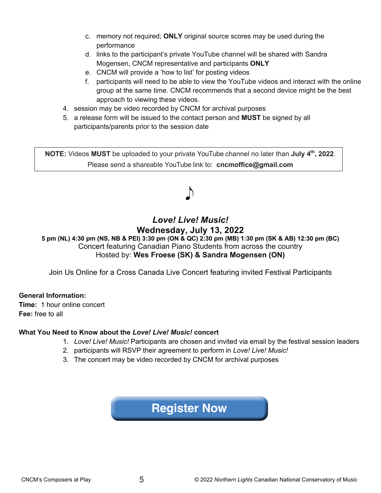- c. memory not required; **ONLY** original source scores may be used during the performance
- d. links to the participant's private YouTube channel will be shared with Sandra Mogensen, CNCM representative and participants **ONLY**
- e. CNCM will provide a 'how to list' for posting videos
- f. participants will need to be able to view the YouTube videos and interact with the online group at the same time. CNCM recommends that a second device might be the best approach to viewing these videos.
- 4. session may be video recorded by CNCM for archival purposes
- 5. a release form will be issued to the contact person and **MUST** be signed by all participants/parents prior to the session date

# *Love! Live! Music!* **Wednesday, July 13, 2022**

**5 pm (NL) 4:30 pm (NS, NB & PEI) 3:30 pm (ON & QC) 2:30 pm (MB) 1:30 pm (SK & AB) 12:30 pm (BC)** Concert featuring Canadian Piano Students from across the country Hosted by: **Wes Froese (SK) & Sandra Mogensen (ON)**

Join Us Online for a Cross Canada Live Concert featuring invited Festival Participants

#### **General Information:**

**Time:** 1 hour online concert **Fee:** free to all

#### **What You Need to Know about the** *Love! Live! Music!* **concert**

- 1. *Love! Live! Music!* Participants are chosen and invited via email by the festival session leaders
- 2. participants will RSVP their agreement to perform in *Love! Live! Music!*
- 3. The concert may be video recorded by CNCM for archival purposes

# **[Register Now](https://www.cncm.ca/)**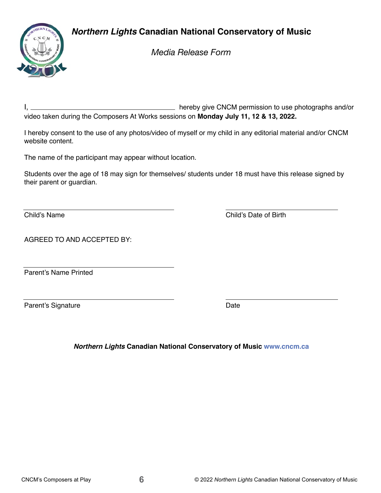# *Northern Lights* **Canadian National Conservatory of Music**



*Media Release Form*

I, hereby give CNCM permission to use photographs and/or video taken during the Composers At Works sessions on **Monday July 11, 12 & 13, 2022.**

I hereby consent to the use of any photos/video of myself or my child in any editorial material and/or CNCM website content.

The name of the participant may appear without location.

Students over the age of 18 may sign for themselves/ students under 18 must have this release signed by their parent or guardian.

Child's Name Child's Date of Birth

AGREED TO AND ACCEPTED BY:

Parent's Name Printed

Parent's Signature Date Date Date

*Northern Lights* **Canadian National Conservatory of Music [www.cncm.ca](https://www.cncm.ca/)**